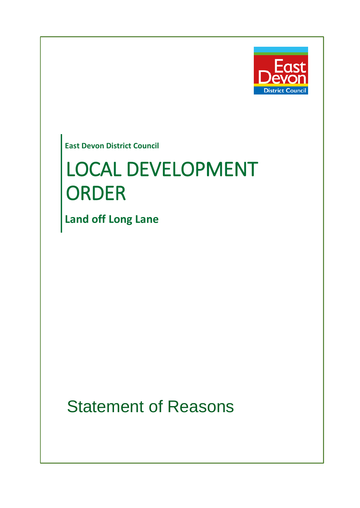

**East Devon District Council**

# LOCAL DEVELOPMENT ORDER

**Land off Long Lane**

Statement of Reasons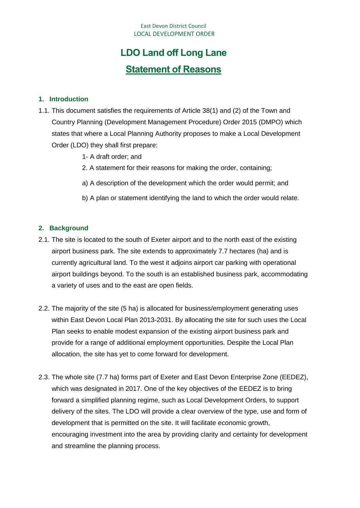# **LDO Land off Long Lane Statement of Reasons**

#### **1. Introduction**

- 1.1. This document satisfies the requirements of Article 38(1) and (2) of the Town and Country Planning (Development Management Procedure) Order 2015 (DMPO) which states that where a Local Planning Authority proposes to make a Local Development Order (LDO) they shall first prepare:
	- 1- A draft order; and
	- 2. A statement for their reasons for making the order, containing;
	- a) A description of the development which the order would permit; and
	- b) A plan or statement identifying the land to which the order would relate.

#### **2. Background**

- 2.1. The site is located to the south of Exeter airport and to the north east of the existing airport business park. The site extends to approximately 7.7 hectares (ha) and is currently agricultural land. To the west it adjoins airport car parking with operational airport buildings beyond. To the south is an established business park, accommodating a variety of uses and to the east are open fields.
- 2.2. The majority of the site (5 ha) is allocated for business/employment generating uses within East Devon Local Plan 2013-2031. By allocating the site for such uses the Local Plan seeks to enable modest expansion of the existing airport business park and provide for a range of additional employment opportunities. Despite the Local Plan allocation, the site has yet to come forward for development.
- 2.3. The whole site (7.7 ha) forms part of Exeter and East Devon Enterprise Zone (EEDEZ), which was designated in 2017. One of the key objectives of the EEDEZ is to bring forward a simplified planning regime, such as Local Development Orders, to support delivery of the sites. The LDO will provide a clear overview of the type, use and form of development that is permitted on the site. It will facilitate economic growth, encouraging investment into the area by providing clarity and certainty for development and streamline the planning process.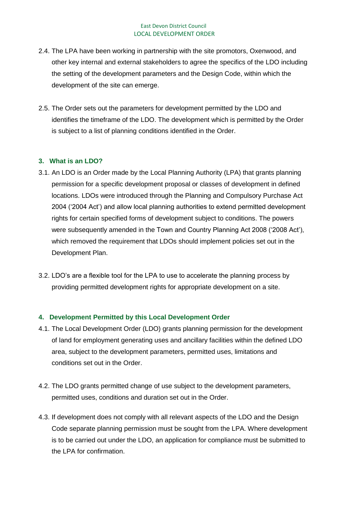- 2.4. The LPA have been working in partnership with the site promotors, Oxenwood, and other key internal and external stakeholders to agree the specifics of the LDO including the setting of the development parameters and the Design Code, within which the development of the site can emerge.
- 2.5. The Order sets out the parameters for development permitted by the LDO and identifies the timeframe of the LDO. The development which is permitted by the Order is subject to a list of planning conditions identified in the Order.

# **3. What is an LDO?**

- 3.1. An LDO is an Order made by the Local Planning Authority (LPA) that grants planning permission for a specific development proposal or classes of development in defined locations. LDOs were introduced through the Planning and Compulsory Purchase Act 2004 ('2004 Act') and allow local planning authorities to extend permitted development rights for certain specified forms of development subject to conditions. The powers were subsequently amended in the Town and Country Planning Act 2008 ('2008 Act'), which removed the requirement that LDOs should implement policies set out in the Development Plan.
- 3.2. LDO's are a flexible tool for the LPA to use to accelerate the planning process by providing permitted development rights for appropriate development on a site.

# **4. Development Permitted by this Local Development Order**

- 4.1. The Local Development Order (LDO) grants planning permission for the development of land for employment generating uses and ancillary facilities within the defined LDO area, subject to the development parameters, permitted uses, limitations and conditions set out in the Order.
- 4.2. The LDO grants permitted change of use subject to the development parameters, permitted uses, conditions and duration set out in the Order.
- 4.3. If development does not comply with all relevant aspects of the LDO and the Design Code separate planning permission must be sought from the LPA. Where development is to be carried out under the LDO, an application for compliance must be submitted to the LPA for confirmation.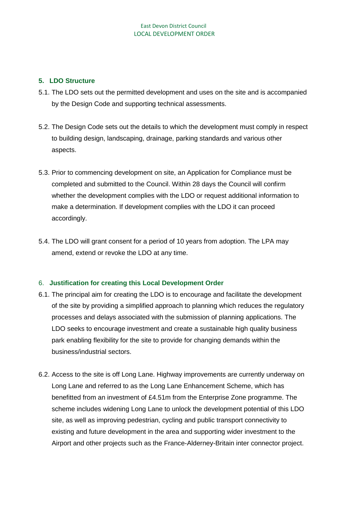#### **5. LDO Structure**

- 5.1. The LDO sets out the permitted development and uses on the site and is accompanied by the Design Code and supporting technical assessments.
- 5.2. The Design Code sets out the details to which the development must comply in respect to building design, landscaping, drainage, parking standards and various other aspects.
- 5.3. Prior to commencing development on site, an Application for Compliance must be completed and submitted to the Council. Within 28 days the Council will confirm whether the development complies with the LDO or request additional information to make a determination. If development complies with the LDO it can proceed accordingly.
- 5.4. The LDO will grant consent for a period of 10 years from adoption. The LPA may amend, extend or revoke the LDO at any time.

# 6. **Justification for creating this Local Development Order**

- 6.1. The principal aim for creating the LDO is to encourage and facilitate the development of the site by providing a simplified approach to planning which reduces the regulatory processes and delays associated with the submission of planning applications. The LDO seeks to encourage investment and create a sustainable high quality business park enabling flexibility for the site to provide for changing demands within the business/industrial sectors.
- 6.2. Access to the site is off Long Lane. Highway improvements are currently underway on Long Lane and referred to as the Long Lane Enhancement Scheme, which has benefitted from an investment of £4.51m from the Enterprise Zone programme. The scheme includes widening Long Lane to unlock the development potential of this LDO site, as well as improving pedestrian, cycling and public transport connectivity to existing and future development in the area and supporting wider investment to the Airport and other projects such as the France-Alderney-Britain inter connector project.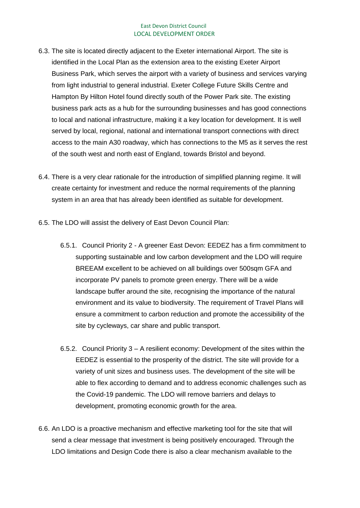- 6.3. The site is located directly adjacent to the Exeter international Airport. The site is identified in the Local Plan as the extension area to the existing Exeter Airport Business Park, which serves the airport with a variety of business and services varying from light industrial to general industrial. Exeter College Future Skills Centre and Hampton By Hilton Hotel found directly south of the Power Park site. The existing business park acts as a hub for the surrounding businesses and has good connections to local and national infrastructure, making it a key location for development. It is well served by local, regional, national and international transport connections with direct access to the main A30 roadway, which has connections to the M5 as it serves the rest of the south west and north east of England, towards Bristol and beyond.
- 6.4. There is a very clear rationale for the introduction of simplified planning regime. It will create certainty for investment and reduce the normal requirements of the planning system in an area that has already been identified as suitable for development.
- 6.5. The LDO will assist the delivery of East Devon Council Plan:
	- 6.5.1. Council Priority 2 A greener East Devon: EEDEZ has a firm commitment to supporting sustainable and low carbon development and the LDO will require BREEAM excellent to be achieved on all buildings over 500sqm GFA and incorporate PV panels to promote green energy. There will be a wide landscape buffer around the site, recognising the importance of the natural environment and its value to biodiversity. The requirement of Travel Plans will ensure a commitment to carbon reduction and promote the accessibility of the site by cycleways, car share and public transport.
	- 6.5.2. Council Priority 3 A resilient economy: Development of the sites within the EEDEZ is essential to the prosperity of the district. The site will provide for a variety of unit sizes and business uses. The development of the site will be able to flex according to demand and to address economic challenges such as the Covid-19 pandemic. The LDO will remove barriers and delays to development, promoting economic growth for the area.
- 6.6. An LDO is a proactive mechanism and effective marketing tool for the site that will send a clear message that investment is being positively encouraged. Through the LDO limitations and Design Code there is also a clear mechanism available to the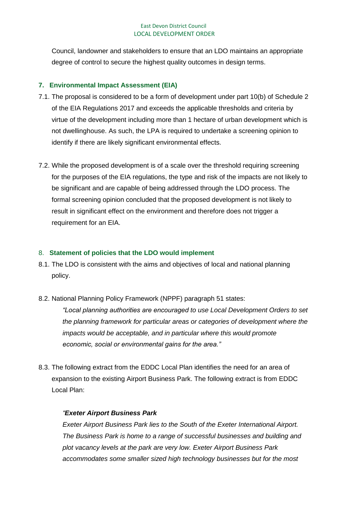Council, landowner and stakeholders to ensure that an LDO maintains an appropriate degree of control to secure the highest quality outcomes in design terms.

# **7. Environmental Impact Assessment (EIA)**

- 7.1. The proposal is considered to be a form of development under part 10(b) of Schedule 2 of the EIA Regulations 2017 and exceeds the applicable thresholds and criteria by virtue of the development including more than 1 hectare of urban development which is not dwellinghouse. As such, the LPA is required to undertake a screening opinion to identify if there are likely significant environmental effects.
- 7.2. While the proposed development is of a scale over the threshold requiring screening for the purposes of the EIA regulations, the type and risk of the impacts are not likely to be significant and are capable of being addressed through the LDO process. The formal screening opinion concluded that the proposed development is not likely to result in significant effect on the environment and therefore does not trigger a requirement for an EIA.

# 8. **Statement of policies that the LDO would implement**

- 8.1. The LDO is consistent with the aims and objectives of local and national planning policy.
- 8.2. National Planning Policy Framework (NPPF) paragraph 51 states:

*"Local planning authorities are encouraged to use Local Development Orders to set the planning framework for particular areas or categories of development where the impacts would be acceptable, and in particular where this would promote economic, social or environmental gains for the area."*

8.3. The following extract from the EDDC Local Plan identifies the need for an area of expansion to the existing Airport Business Park. The following extract is from EDDC Local Plan:

# *"Exeter Airport Business Park*

*Exeter Airport Business Park lies to the South of the Exeter International Airport. The Business Park is home to a range of successful businesses and building and plot vacancy levels at the park are very low. Exeter Airport Business Park accommodates some smaller sized high technology businesses but for the most*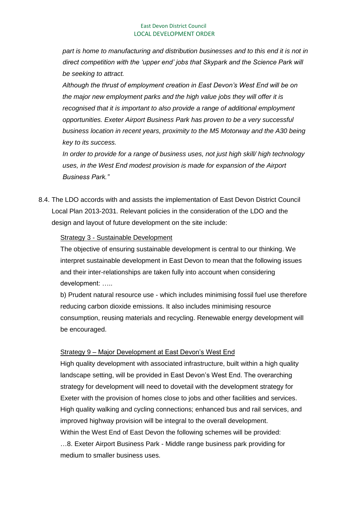*part is home to manufacturing and distribution businesses and to this end it is not in direct competition with the 'upper end' jobs that Skypark and the Science Park will be seeking to attract.* 

*Although the thrust of employment creation in East Devon's West End will be on the major new employment parks and the high value jobs they will offer it is recognised that it is important to also provide a range of additional employment opportunities. Exeter Airport Business Park has proven to be a very successful business location in recent years, proximity to the M5 Motorway and the A30 being key to its success.* 

*In order to provide for a range of business uses, not just high skill/ high technology uses, in the West End modest provision is made for expansion of the Airport Business Park."*

8.4. The LDO accords with and assists the implementation of East Devon District Council Local Plan 2013-2031. Relevant policies in the consideration of the LDO and the design and layout of future development on the site include:

#### Strategy 3 - Sustainable Development

The objective of ensuring sustainable development is central to our thinking. We interpret sustainable development in East Devon to mean that the following issues and their inter-relationships are taken fully into account when considering development: …..

b) Prudent natural resource use - which includes minimising fossil fuel use therefore reducing carbon dioxide emissions. It also includes minimising resource consumption, reusing materials and recycling. Renewable energy development will be encouraged.

#### Strategy 9 – Major Development at East Devon's West End

High quality development with associated infrastructure, built within a high quality landscape setting, will be provided in East Devon's West End. The overarching strategy for development will need to dovetail with the development strategy for Exeter with the provision of homes close to jobs and other facilities and services. High quality walking and cycling connections; enhanced bus and rail services, and improved highway provision will be integral to the overall development. Within the West End of East Devon the following schemes will be provided: …8. Exeter Airport Business Park - Middle range business park providing for medium to smaller business uses.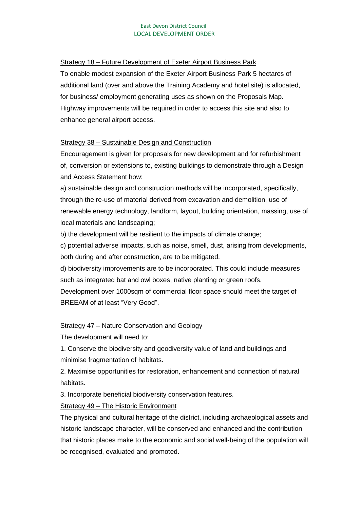#### Strategy 18 – Future Development of Exeter Airport Business Park

To enable modest expansion of the Exeter Airport Business Park 5 hectares of additional land (over and above the Training Academy and hotel site) is allocated, for business/ employment generating uses as shown on the Proposals Map. Highway improvements will be required in order to access this site and also to enhance general airport access.

#### Strategy 38 – Sustainable Design and Construction

Encouragement is given for proposals for new development and for refurbishment of, conversion or extensions to, existing buildings to demonstrate through a Design and Access Statement how:

a) sustainable design and construction methods will be incorporated, specifically, through the re-use of material derived from excavation and demolition, use of renewable energy technology, landform, layout, building orientation, massing, use of local materials and landscaping;

b) the development will be resilient to the impacts of climate change;

c) potential adverse impacts, such as noise, smell, dust, arising from developments, both during and after construction, are to be mitigated.

d) biodiversity improvements are to be incorporated. This could include measures such as integrated bat and owl boxes, native planting or green roofs.

Development over 1000sqm of commercial floor space should meet the target of BREEAM of at least "Very Good".

# Strategy 47 – Nature Conservation and Geology

The development will need to:

1. Conserve the biodiversity and geodiversity value of land and buildings and minimise fragmentation of habitats.

2. Maximise opportunities for restoration, enhancement and connection of natural habitats.

3. Incorporate beneficial biodiversity conservation features.

# Strategy 49 – The Historic Environment

The physical and cultural heritage of the district, including archaeological assets and historic landscape character, will be conserved and enhanced and the contribution that historic places make to the economic and social well-being of the population will be recognised, evaluated and promoted.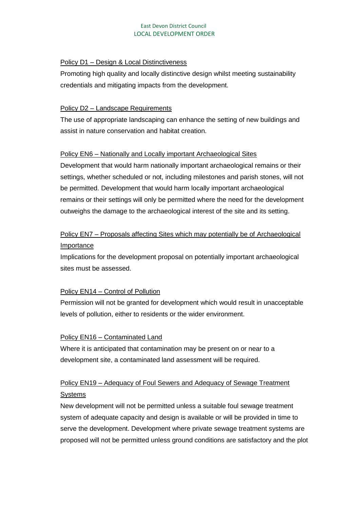#### Policy D1 – Design & Local Distinctiveness

Promoting high quality and locally distinctive design whilst meeting sustainability credentials and mitigating impacts from the development.

# Policy D2 – Landscape Requirements

The use of appropriate landscaping can enhance the setting of new buildings and assist in nature conservation and habitat creation.

# Policy EN6 – Nationally and Locally important Archaeological Sites

Development that would harm nationally important archaeological remains or their settings, whether scheduled or not, including milestones and parish stones, will not be permitted. Development that would harm locally important archaeological remains or their settings will only be permitted where the need for the development outweighs the damage to the archaeological interest of the site and its setting.

# Policy EN7 – Proposals affecting Sites which may potentially be of Archaeological Importance

Implications for the development proposal on potentially important archaeological sites must be assessed.

# Policy EN14 – Control of Pollution

Permission will not be granted for development which would result in unacceptable levels of pollution, either to residents or the wider environment.

# Policy EN16 – Contaminated Land

Where it is anticipated that contamination may be present on or near to a development site, a contaminated land assessment will be required.

# Policy EN19 – Adequacy of Foul Sewers and Adequacy of Sewage Treatment **Systems**

New development will not be permitted unless a suitable foul sewage treatment system of adequate capacity and design is available or will be provided in time to serve the development. Development where private sewage treatment systems are proposed will not be permitted unless ground conditions are satisfactory and the plot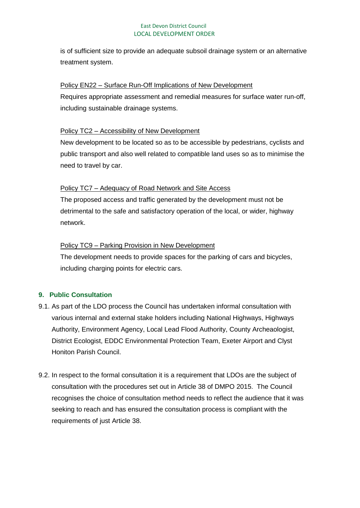is of sufficient size to provide an adequate subsoil drainage system or an alternative treatment system.

#### Policy EN22 – Surface Run-Off Implications of New Development

Requires appropriate assessment and remedial measures for surface water run-off, including sustainable drainage systems.

# Policy TC2 – Accessibility of New Development

New development to be located so as to be accessible by pedestrians, cyclists and public transport and also well related to compatible land uses so as to minimise the need to travel by car.

# Policy TC7 – Adequacy of Road Network and Site Access

The proposed access and traffic generated by the development must not be detrimental to the safe and satisfactory operation of the local, or wider, highway network.

# Policy TC9 – Parking Provision in New Development

The development needs to provide spaces for the parking of cars and bicycles, including charging points for electric cars.

# **9. Public Consultation**

- 9.1. As part of the LDO process the Council has undertaken informal consultation with various internal and external stake holders including National Highways, Highways Authority, Environment Agency, Local Lead Flood Authority, County Archeaologist, District Ecologist, EDDC Environmental Protection Team, Exeter Airport and Clyst Honiton Parish Council.
- 9.2. In respect to the formal consultation it is a requirement that LDOs are the subject of consultation with the procedures set out in Article 38 of DMPO 2015. The Council recognises the choice of consultation method needs to reflect the audience that it was seeking to reach and has ensured the consultation process is compliant with the requirements of just Article 38.